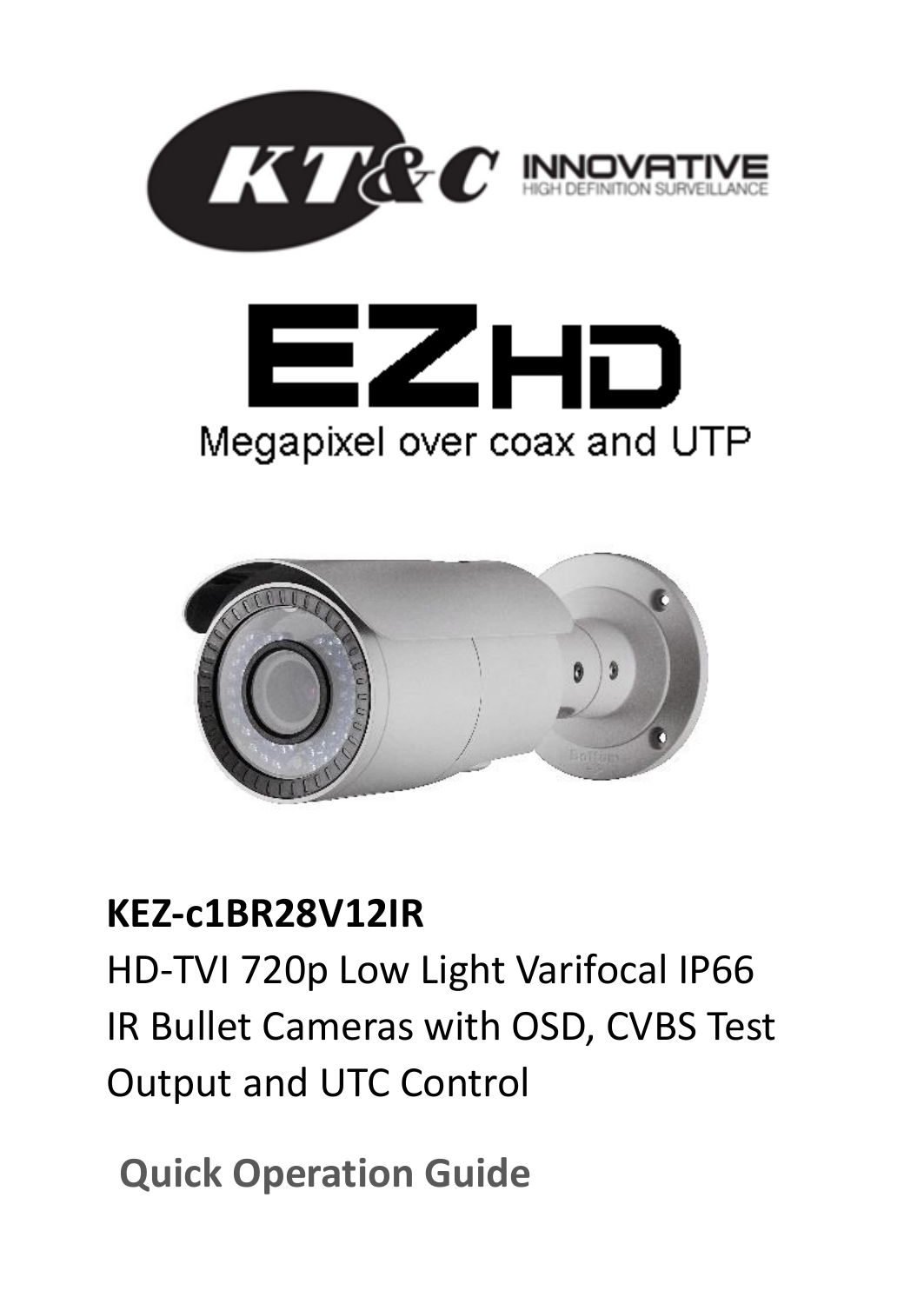





# **KEZ-c1BR28V12IR**

HD-TVI 720p Low Light Varifocal IP66 IR Bullet Cameras with OSD, CVBS Test Output and UTC Control

**Quick Operation Guide**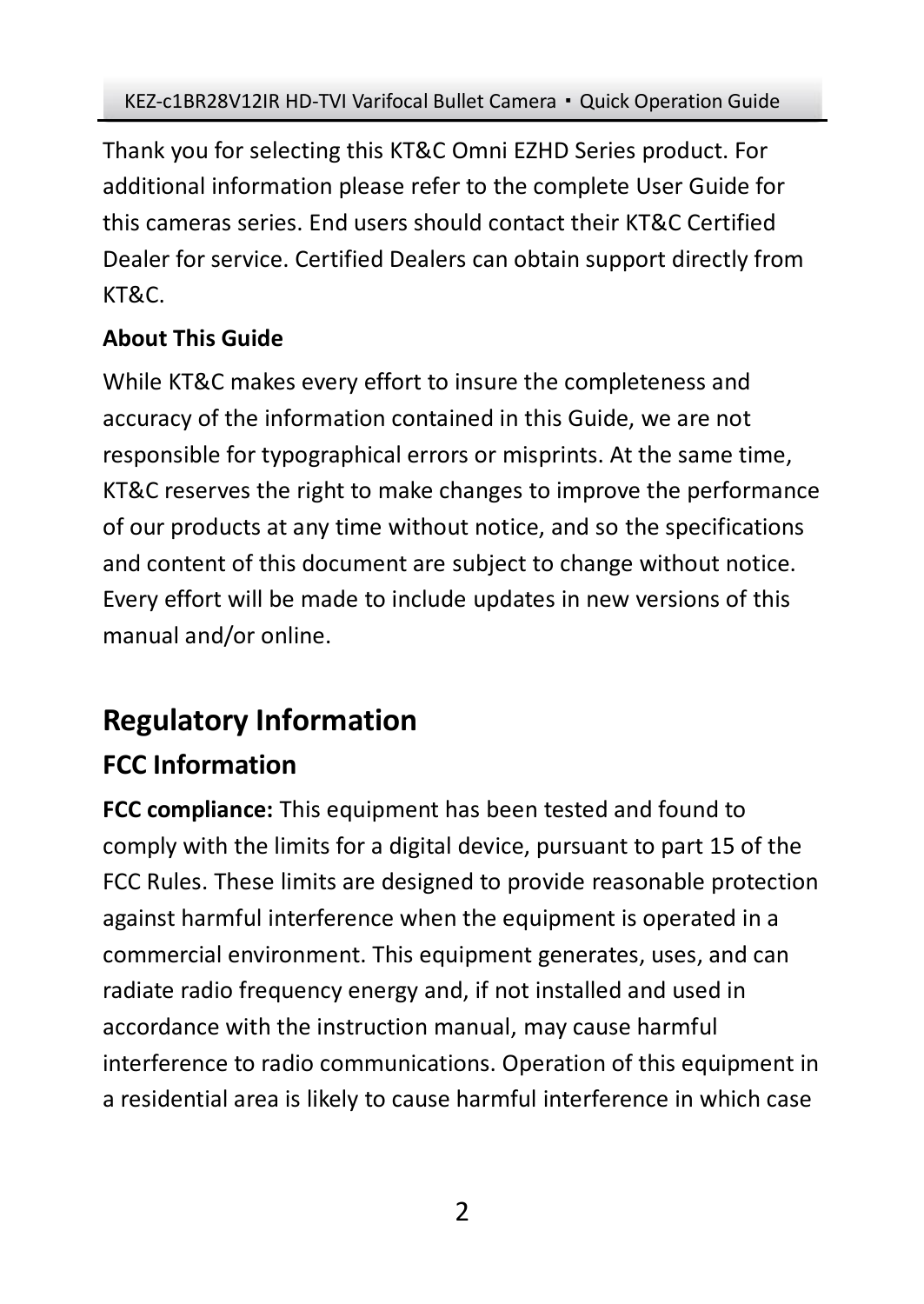Thank you for selecting this KT&C Omni EZHD Series product. For additional information please refer to the complete User Guide for this cameras series. End users should contact their KT&C Certified Dealer for service. Certified Dealers can obtain support directly from KT&C.

## **About This Guide**

While KT&C makes every effort to insure the completeness and accuracy of the information contained in this Guide, we are not responsible for typographical errors or misprints. At the same time, KT&C reserves the right to make changes to improve the performance of our products at any time without notice, and so the specifications and content of this document are subject to change without notice. Every effort will be made to include updates in new versions of this manual and/or online.

# **Regulatory Information**

# **FCC Information**

**FCC compliance:** This equipment has been tested and found to comply with the limits for a digital device, pursuant to part 15 of the FCC Rules. These limits are designed to provide reasonable protection against harmful interference when the equipment is operated in a commercial environment. This equipment generates, uses, and can radiate radio frequency energy and, if not installed and used in accordance with the instruction manual, may cause harmful interference to radio communications. Operation of this equipment in a residential area is likely to cause harmful interference in which case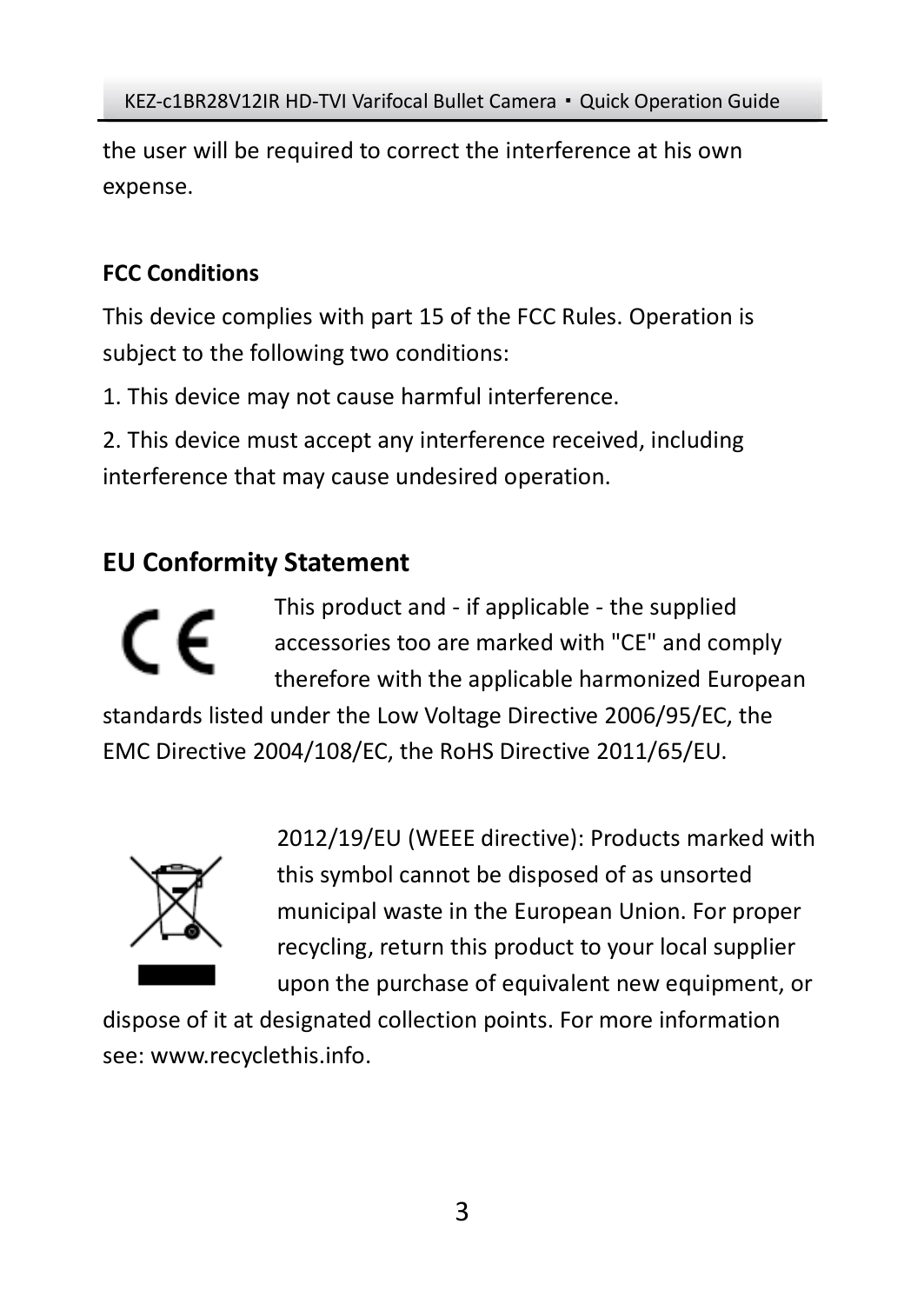the user will be required to correct the interference at his own expense.

## **FCC Conditions**

This device complies with part 15 of the FCC Rules. Operation is subject to the following two conditions:

1. This device may not cause harmful interference.

2. This device must accept any interference received, including interference that may cause undesired operation.

# **EU Conformity Statement**

This product and - if applicable - the supplied C F accessories too are marked with "CE" and comply therefore with the applicable harmonized European standards listed under the Low Voltage Directive 2006/95/EC, the EMC Directive 2004/108/EC, the RoHS Directive 2011/65/EU.



2012/19/EU (WEEE directive): Products marked with this symbol cannot be disposed of as unsorted municipal waste in the European Union. For proper recycling, return this product to your local supplier upon the purchase of equivalent new equipment, or

dispose of it at designated collection points. For more information see[: www.recyclethis.info.](http://www.recyclethis.info/)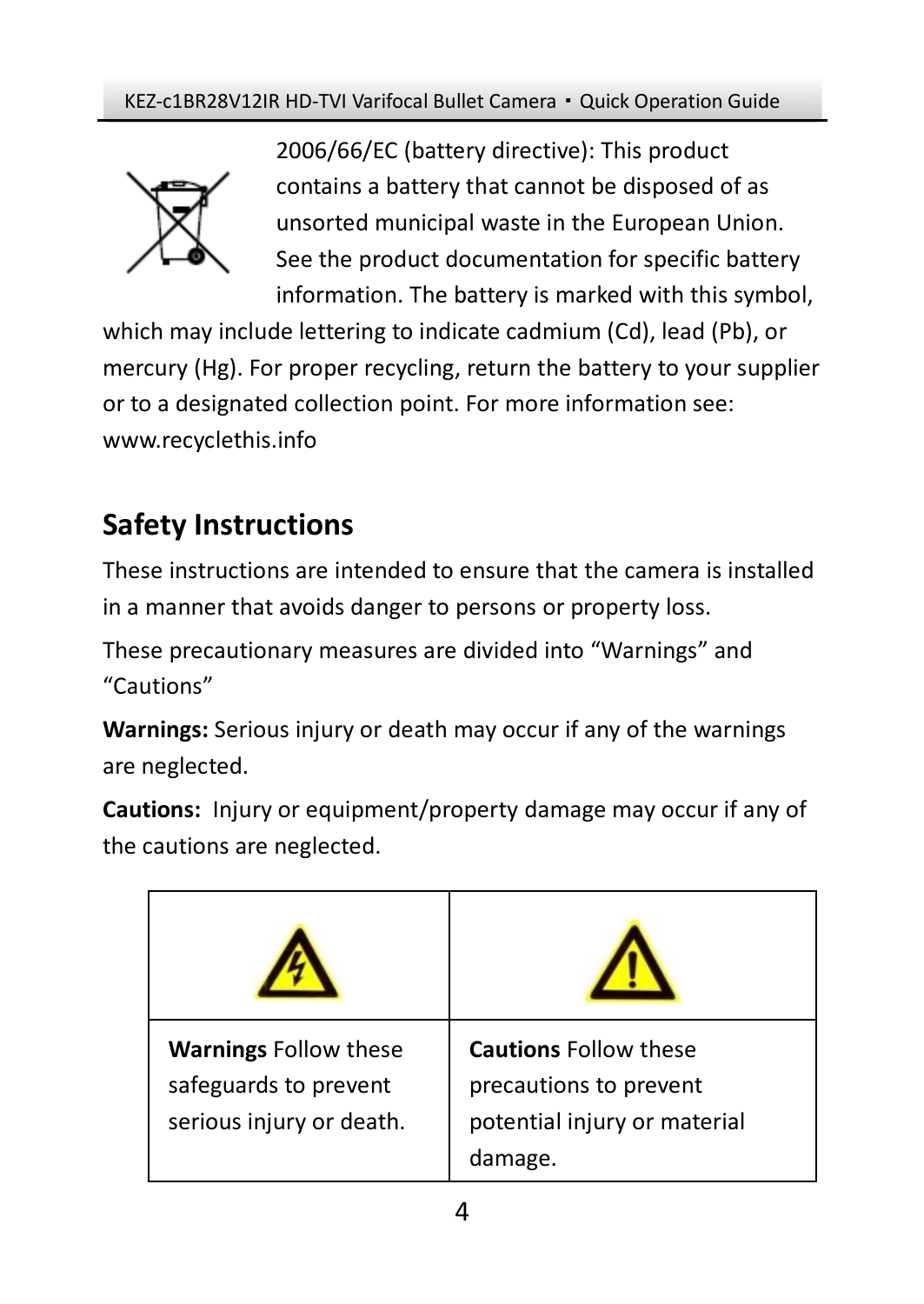

2006/66/EC (battery directive): This product contains a battery that cannot be disposed of as unsorted municipal waste in the European Union. See the product documentation for specific battery information. The battery is marked with this symbol,

which may include lettering to indicate cadmium (Cd), lead (Pb), or mercury (Hg). For proper recycling, return the battery to your supplier or to a designated collection point. For more information see: www.recyclethis.info

# **Safety Instructions**

These instructions are intended to ensure that the camera is installed in a manner that avoids danger to persons or property loss.

These precautionary measures are divided into "Warnings" and "Cautions"

**Warnings:** Serious injury or death may occur if any of the warnings are neglected.

**Cautions:** Injury or equipment/property damage may occur if any of the cautions are neglected.

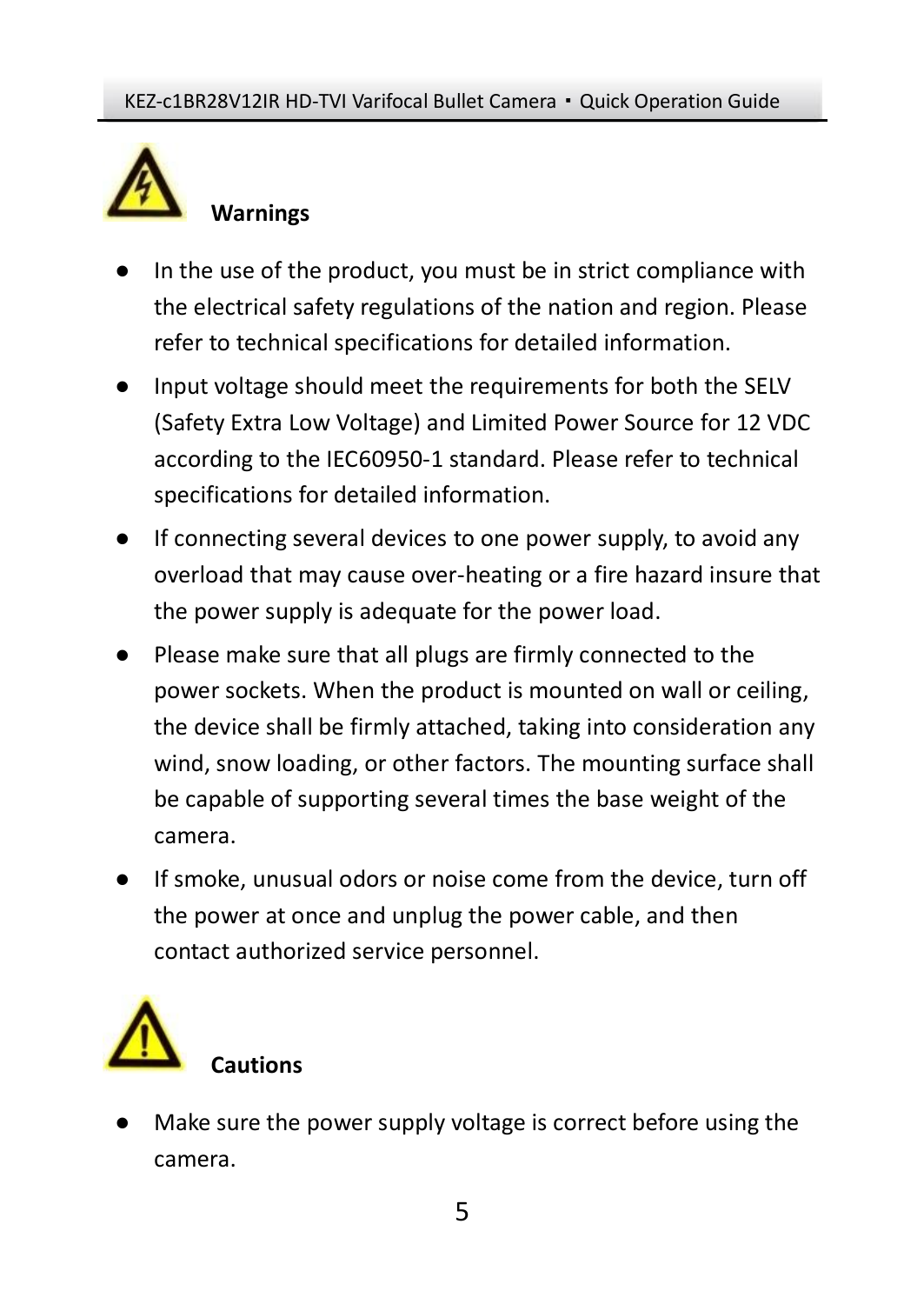

- In the use of the product, you must be in strict compliance with the electrical safety regulations of the nation and region. Please refer to technical specifications for detailed information.
- Input voltage should meet the requirements for both the SELV (Safety Extra Low Voltage) and Limited Power Source for 12 VDC according to the IEC60950-1 standard. Please refer to technical specifications for detailed information.
- If connecting several devices to one power supply, to avoid any overload that may cause over-heating or a fire hazard insure that the power supply is adequate for the power load.
- Please make sure that all plugs are firmly connected to the power sockets. When the product is mounted on wall or ceiling, the device shall be firmly attached, taking into consideration any wind, snow loading, or other factors. The mounting surface shall be capable of supporting several times the base weight of the camera.
- If smoke, unusual odors or noise come from the device, turn off the power at once and unplug the power cable, and then contact authorized service personnel.



Make sure the power supply voltage is correct before using the camera.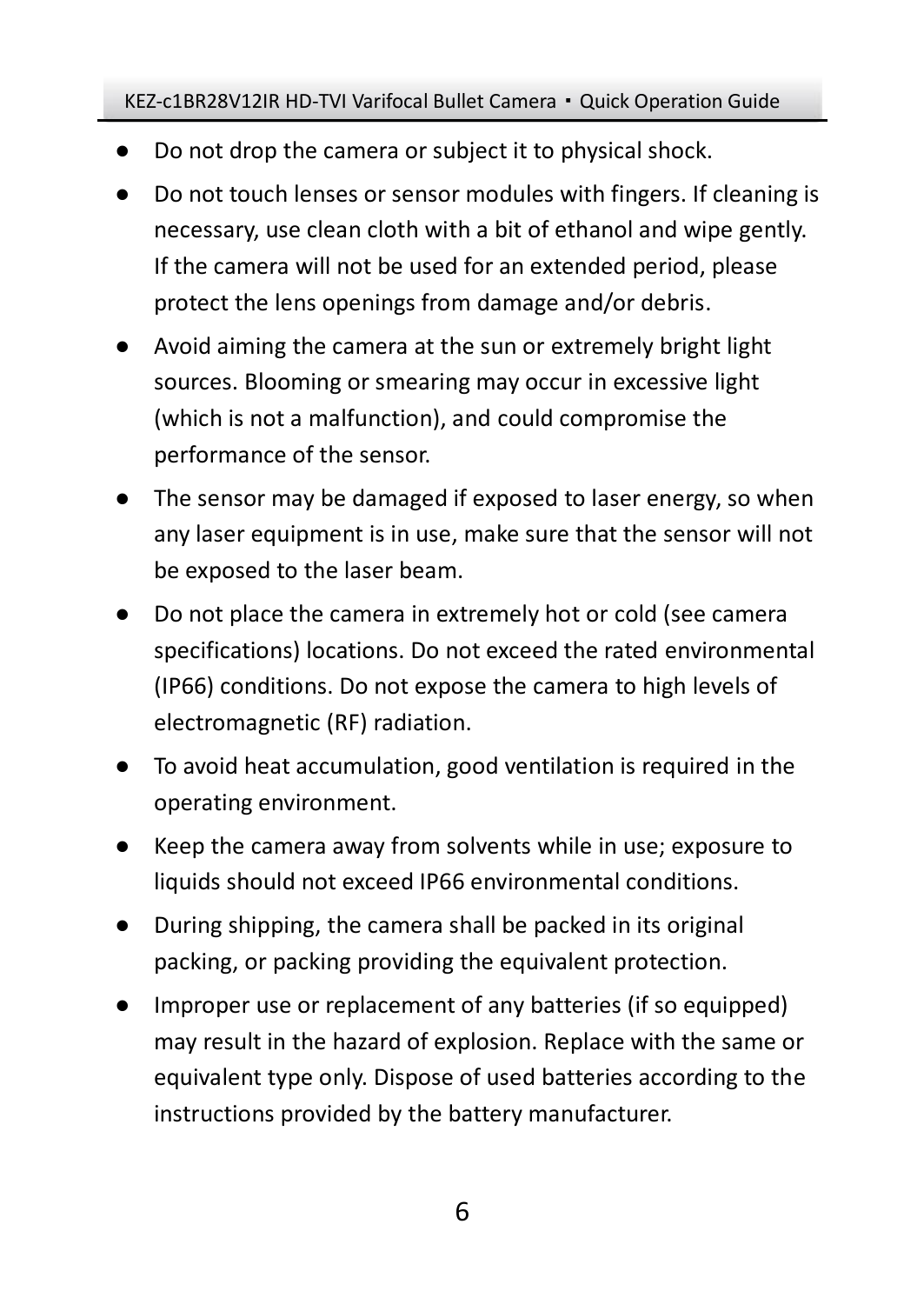- Do not drop the camera or subject it to physical shock.
- Do not touch lenses or sensor modules with fingers. If cleaning is necessary, use clean cloth with a bit of ethanol and wipe gently. If the camera will not be used for an extended period, please protect the lens openings from damage and/or debris.
- Avoid aiming the camera at the sun or extremely bright light sources. Blooming or smearing may occur in excessive light (which is not a malfunction), and could compromise the performance of the sensor.
- The sensor may be damaged if exposed to laser energy, so when any laser equipment is in use, make sure that the sensor will not be exposed to the laser beam.
- Do not place the camera in extremely hot or cold (see camera specifications) locations. Do not exceed the rated environmental (IP66) conditions. Do not expose the camera to high levels of electromagnetic (RF) radiation.
- To avoid heat accumulation, good ventilation is required in the operating environment.
- Keep the camera away from solvents while in use; exposure to liquids should not exceed IP66 environmental conditions.
- During shipping, the camera shall be packed in its original packing, or packing providing the equivalent protection.
- Improper use or replacement of any batteries (if so equipped) may result in the hazard of explosion. Replace with the same or equivalent type only. Dispose of used batteries according to the instructions provided by the battery manufacturer.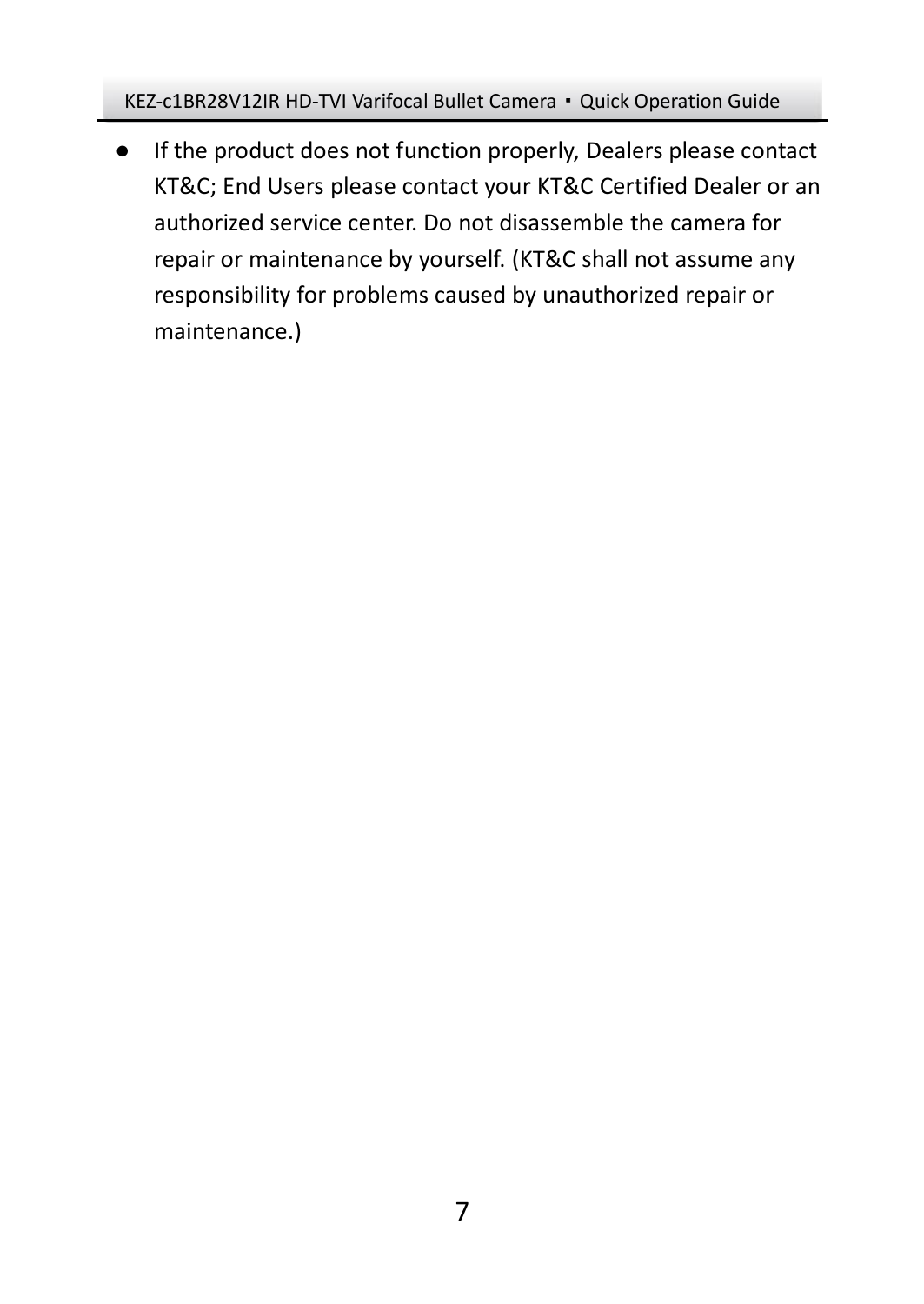● If the product does not function properly, Dealers please contact KT&C; End Users please contact your KT&C Certified Dealer or an authorized service center. Do not disassemble the camera for repair or maintenance by yourself. (KT&C shall not assume any responsibility for problems caused by unauthorized repair or maintenance.)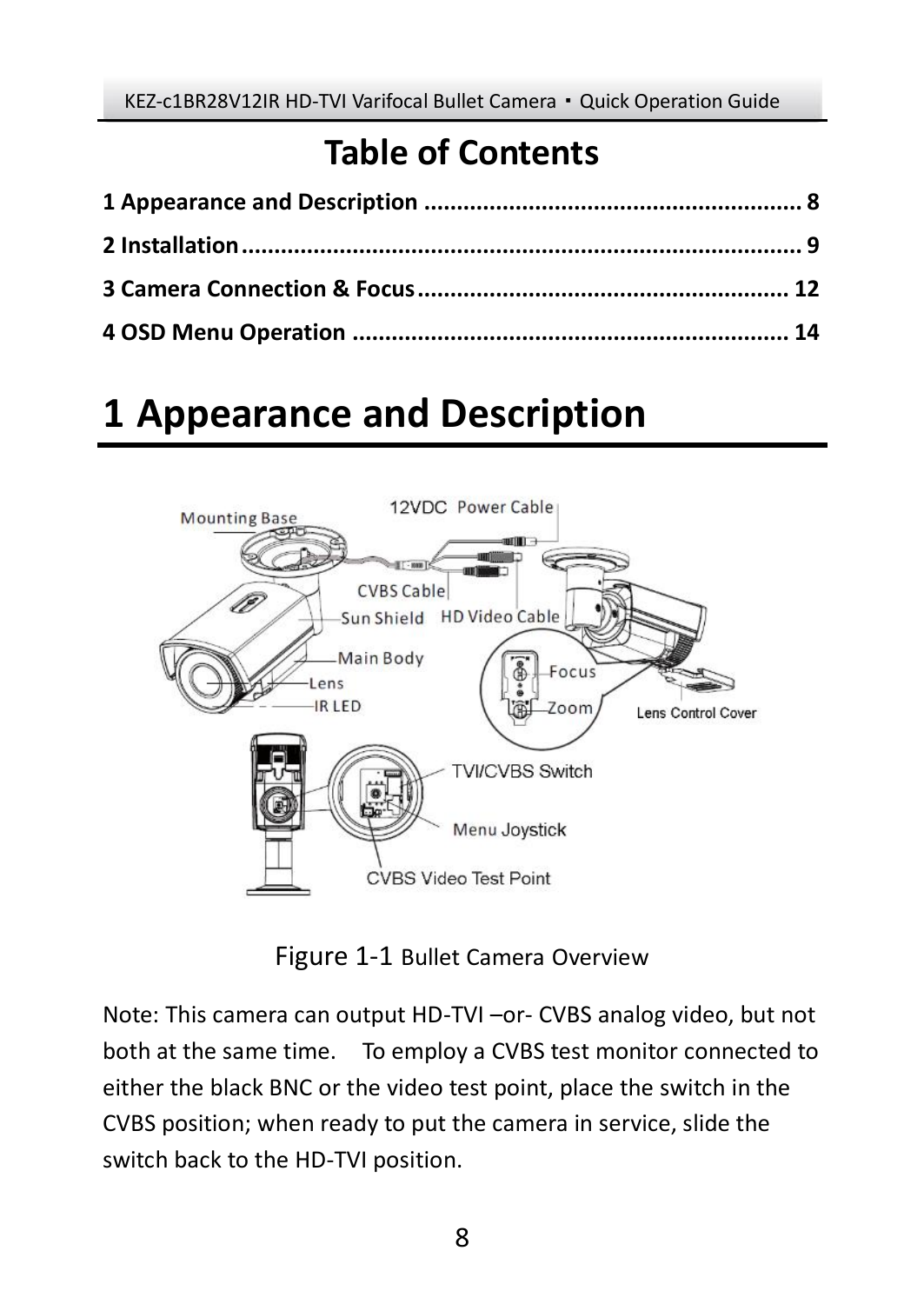# **Table of Contents**

# <span id="page-7-0"></span>**1 Appearance and Description**



Figure 1-1 Bullet Camera Overview

Note: This camera can output HD-TVI –or- CVBS analog video, but not both at the same time. To employ a CVBS test monitor connected to either the black BNC or the video test point, place the switch in the CVBS position; when ready to put the camera in service, slide the switch back to the HD-TVI position.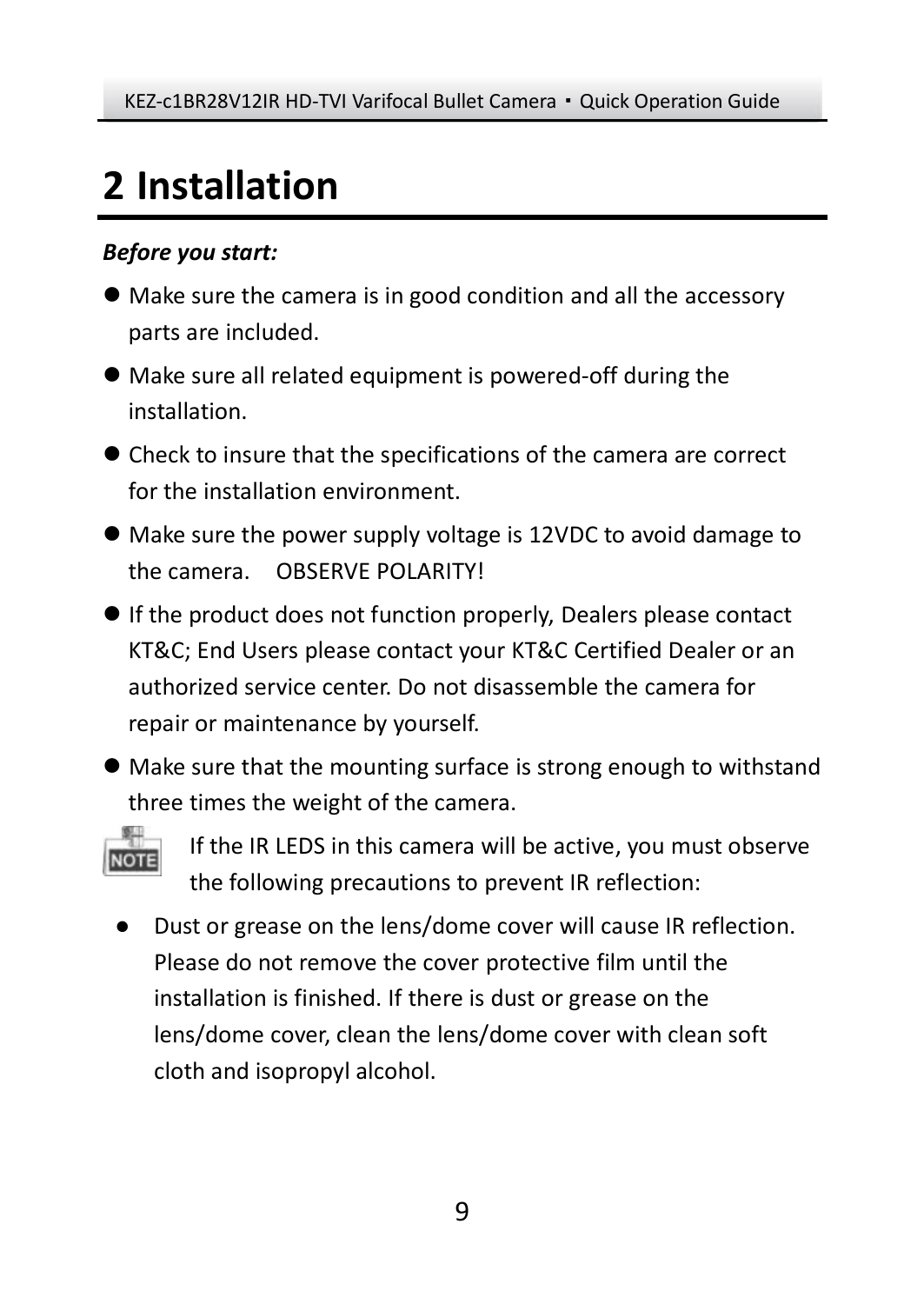# <span id="page-8-0"></span>**2 Installation**

### *Before you start:*

- Make sure the camera is in good condition and all the accessory parts are included.
- Make sure all related equipment is powered-off during the installation.
- Check to insure that the specifications of the camera are correct for the installation environment.
- Make sure the power supply voltage is 12VDC to avoid damage to the camera. OBSERVE POLARITY!
- If the product does not function properly, Dealers please contact KT&C; End Users please contact your KT&C Certified Dealer or an authorized service center. Do not disassemble the camera for repair or maintenance by yourself.
- Make sure that the mounting surface is strong enough to withstand three times the weight of the camera.



If the IR LEDS in this camera will be active, you must observe the following precautions to prevent IR reflection:

● Dust or grease on the lens/dome cover will cause IR reflection. Please do not remove the cover protective film until the installation is finished. If there is dust or grease on the lens/dome cover, clean the lens/dome cover with clean soft cloth and isopropyl alcohol.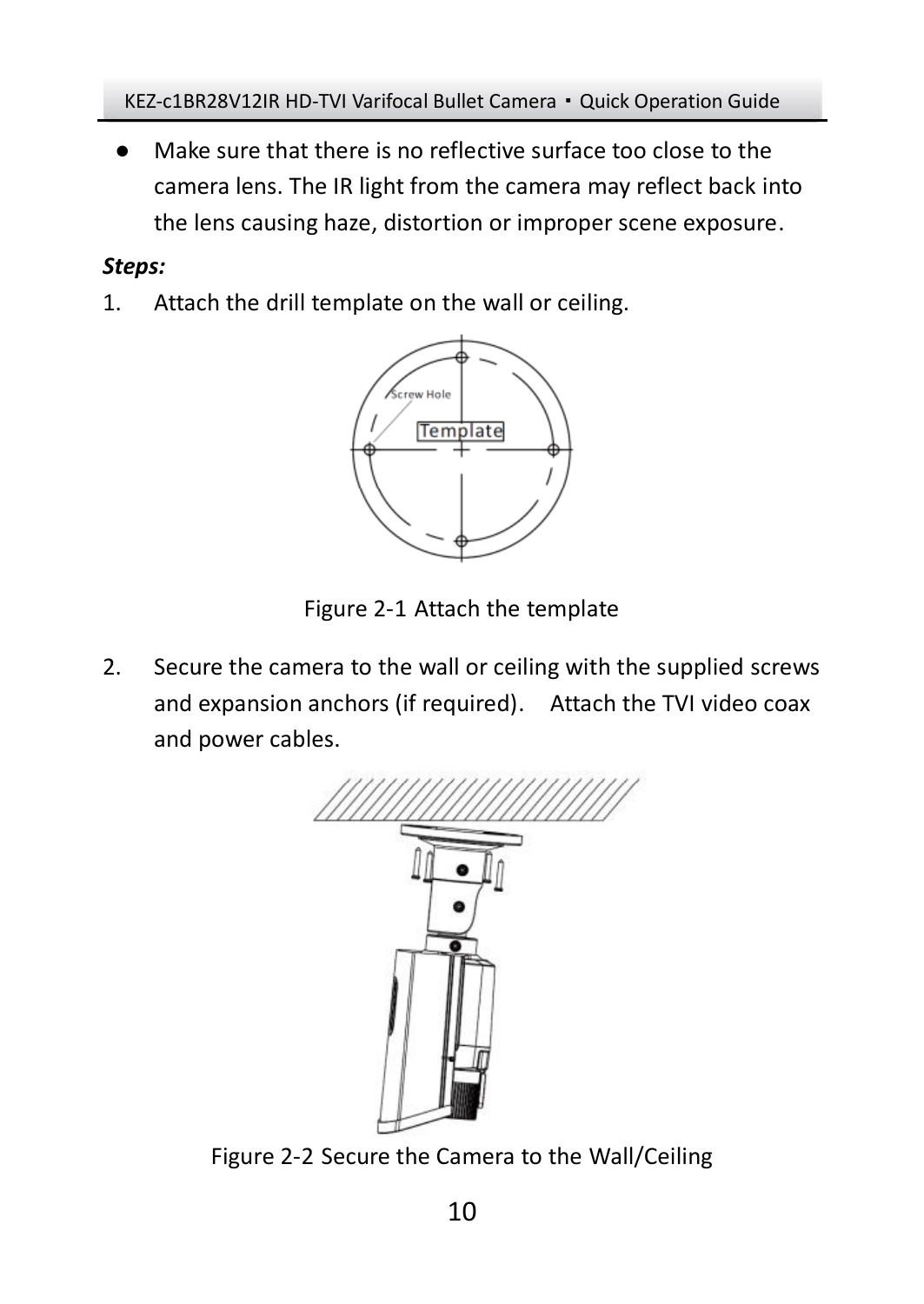Make sure that there is no reflective surface too close to the camera lens. The IR light from the camera may reflect back into the lens causing haze, distortion or improper scene exposure.

### *Steps:*

1. Attach the drill template on the wall or ceiling.



Figure 2-1 Attach the template

2. Secure the camera to the wall or ceiling with the supplied screws and expansion anchors (if required). Attach the TVI video coax and power cables.



Figure 2-2 Secure the Camera to the Wall/Ceiling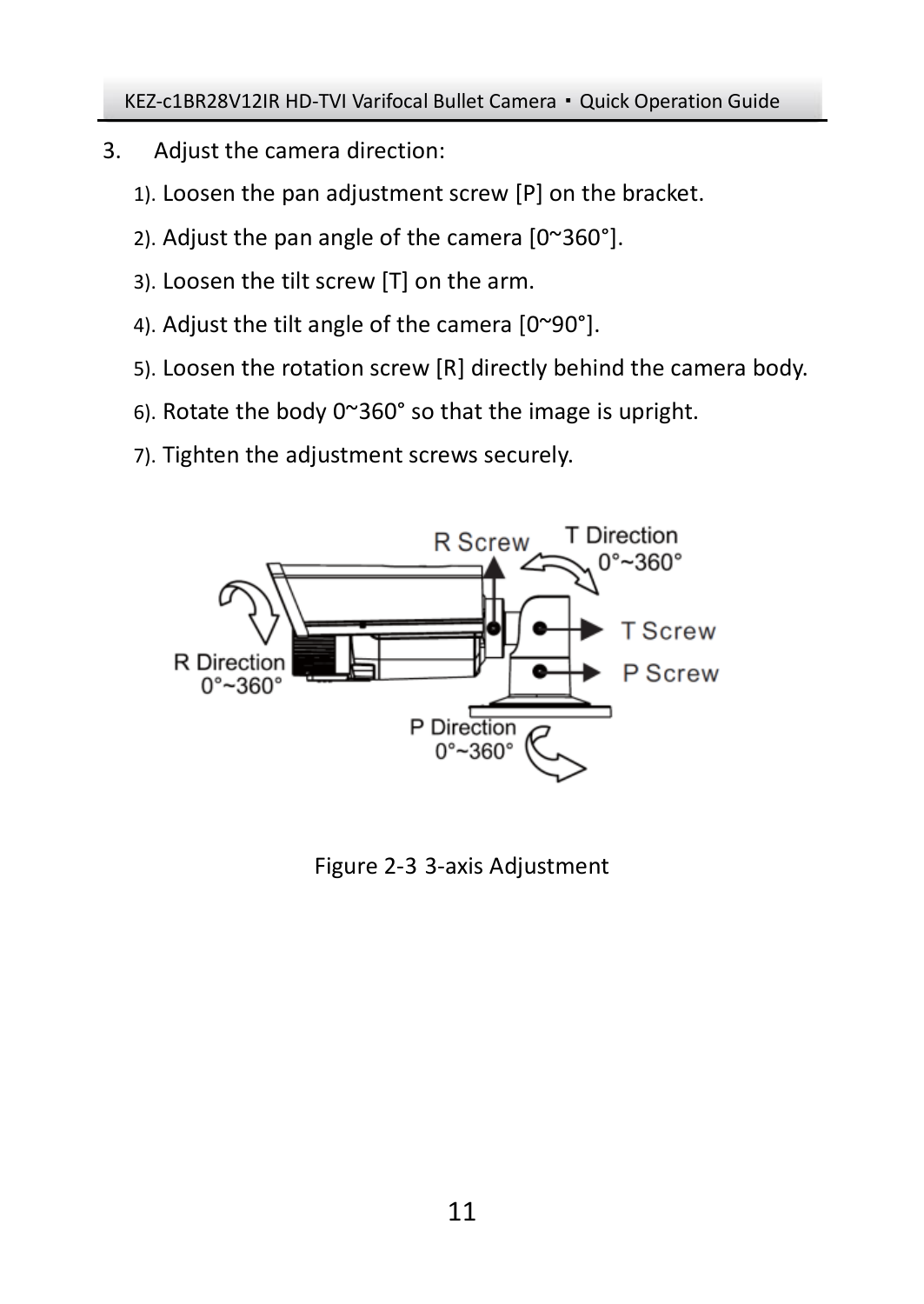- 3. Adjust the camera direction:
	- 1). Loosen the pan adjustment screw [P] on the bracket.
	- 2). Adjust the pan angle of the camera [0~360°].
	- 3). Loosen the tilt screw [T] on the arm.
	- 4). Adjust the tilt angle of the camera [0~90°].
	- 5). Loosen the rotation screw [R] directly behind the camera body.
	- 6). Rotate the body 0~360° so that the image is upright.
	- 7). Tighten the adjustment screws securely.



Figure 2-3 3-axis Adjustment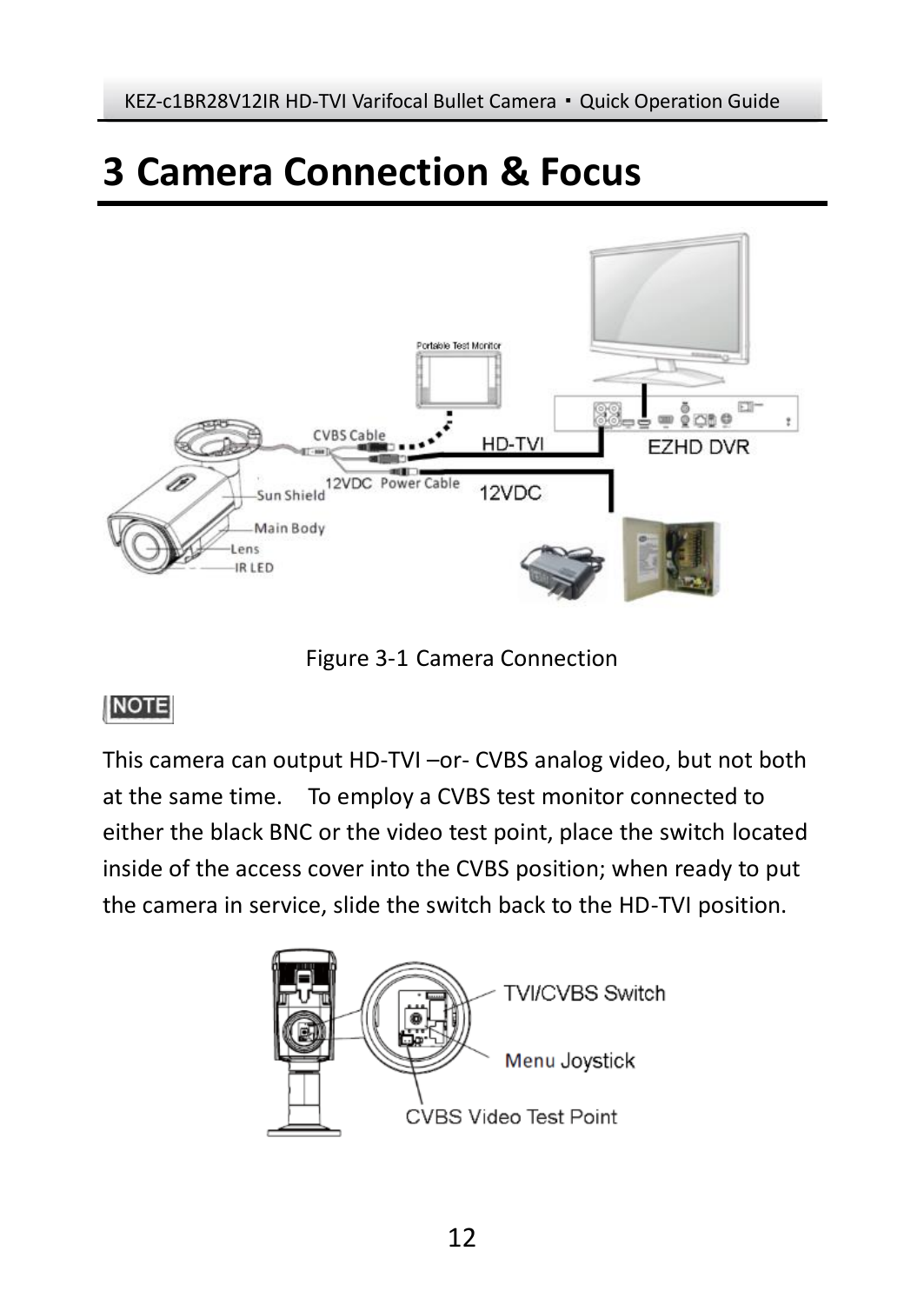# <span id="page-11-0"></span>**3 Camera Connection & Focus**



Figure 3-1 Camera Connection

## NOTE

This camera can output HD-TVI –or- CVBS analog video, but not both at the same time. To employ a CVBS test monitor connected to either the black BNC or the video test point, place the switch located inside of the access cover into the CVBS position; when ready to put the camera in service, slide the switch back to the HD-TVI position.

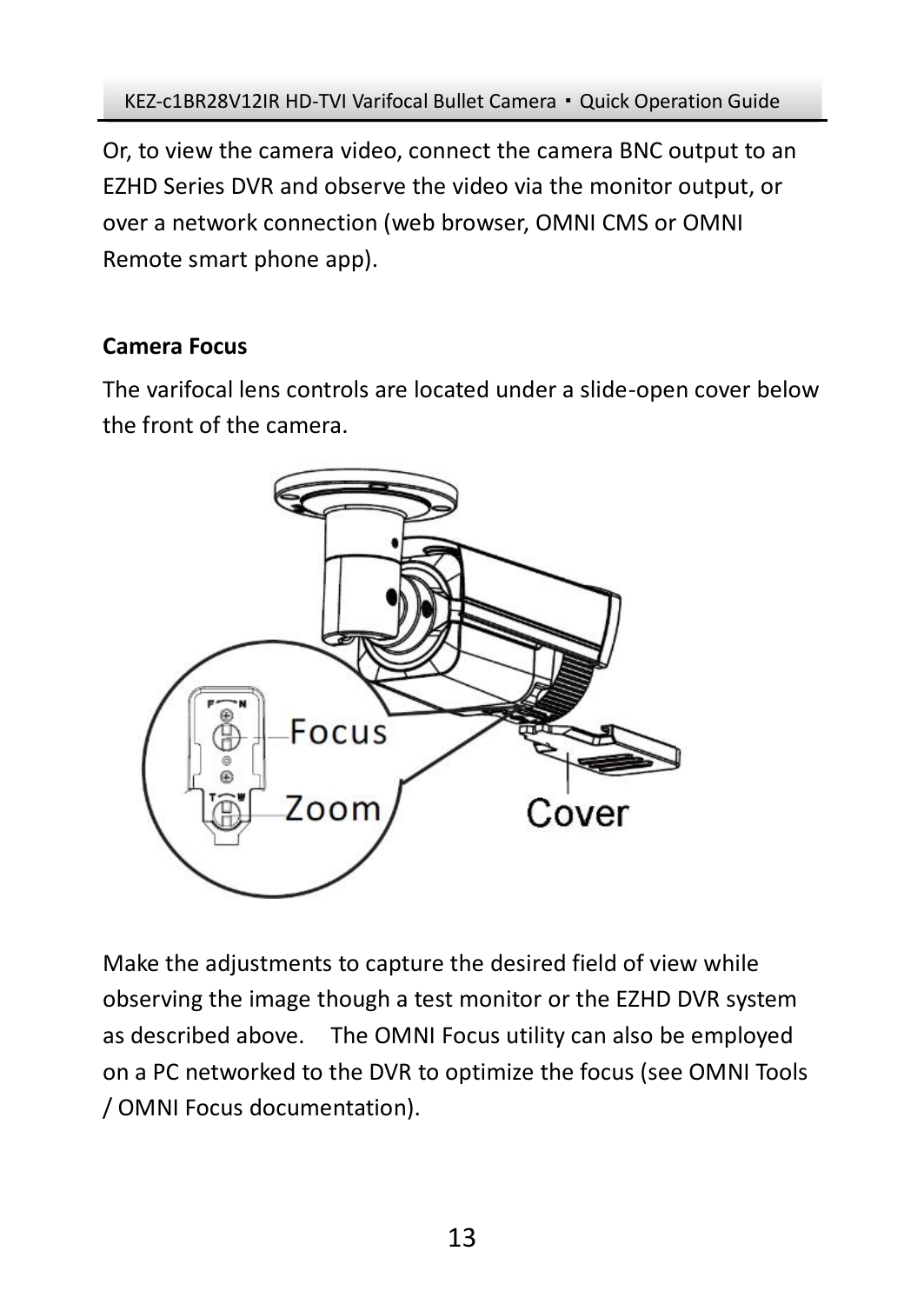Or, to view the camera video, connect the camera BNC output to an EZHD Series DVR and observe the video via the monitor output, or over a network connection (web browser, OMNI CMS or OMNI Remote smart phone app).

## **Camera Focus**

The varifocal lens controls are located under a slide-open cover below the front of the camera.



Make the adjustments to capture the desired field of view while observing the image though a test monitor or the EZHD DVR system as described above. The OMNI Focus utility can also be employed on a PC networked to the DVR to optimize the focus (see OMNI Tools / OMNI Focus documentation).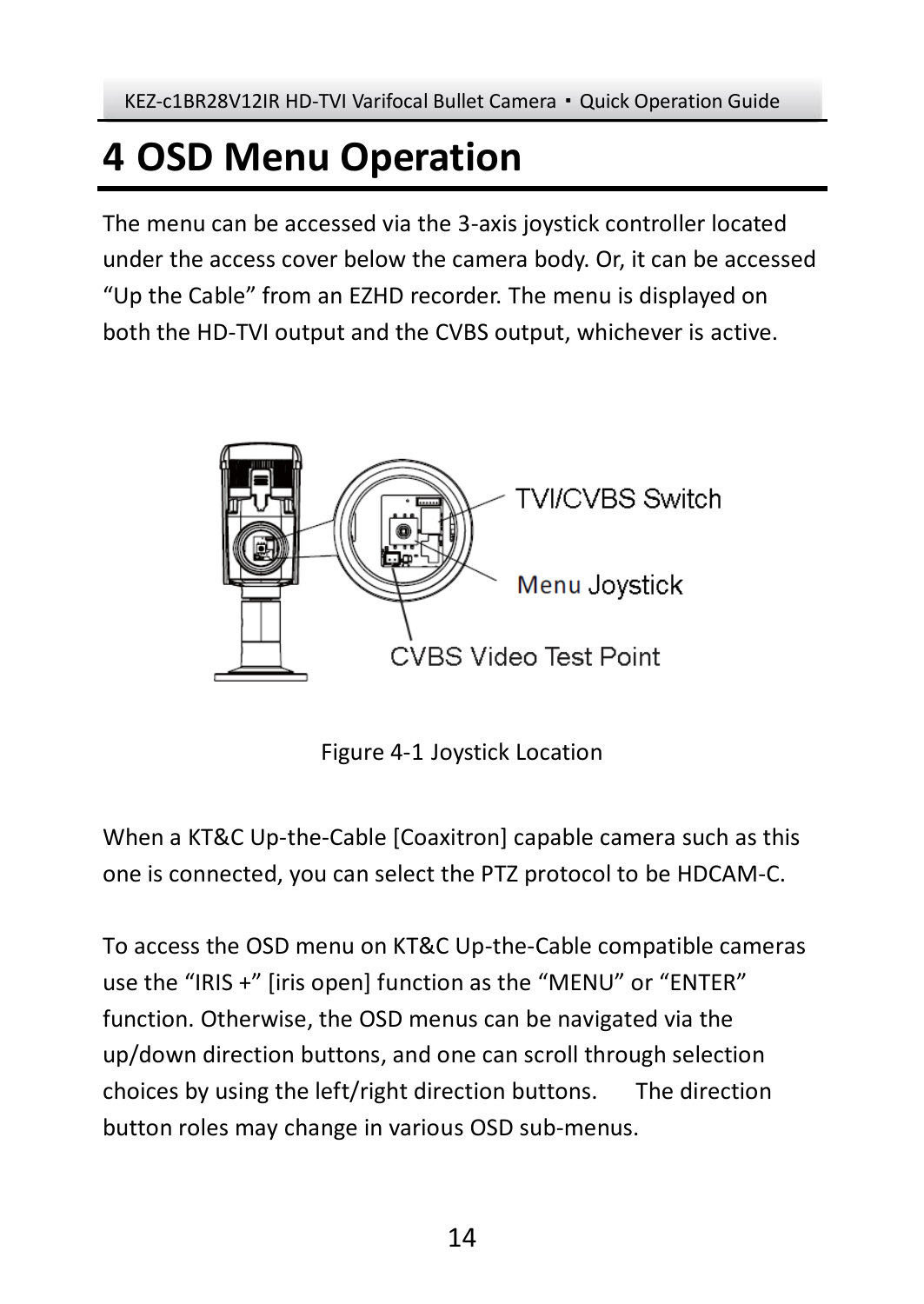# <span id="page-13-0"></span>**4 OSD Menu Operation**

The menu can be accessed via the 3-axis joystick controller located under the access cover below the camera body. Or, it can be accessed "Up the Cable" from an EZHD recorder. The menu is displayed on both the HD-TVI output and the CVBS output, whichever is active.



Figure 4-1 Joystick Location

When a KT&C Up-the-Cable [Coaxitron] capable camera such as this one is connected, you can select the PTZ protocol to be HDCAM-C.

To access the OSD menu on KT&C Up-the-Cable compatible cameras use the "IRIS +" [iris open] function as the "MENU" or "ENTER" function. Otherwise, the OSD menus can be navigated via the up/down direction buttons, and one can scroll through selection choices by using the left/right direction buttons. The direction button roles may change in various OSD sub-menus.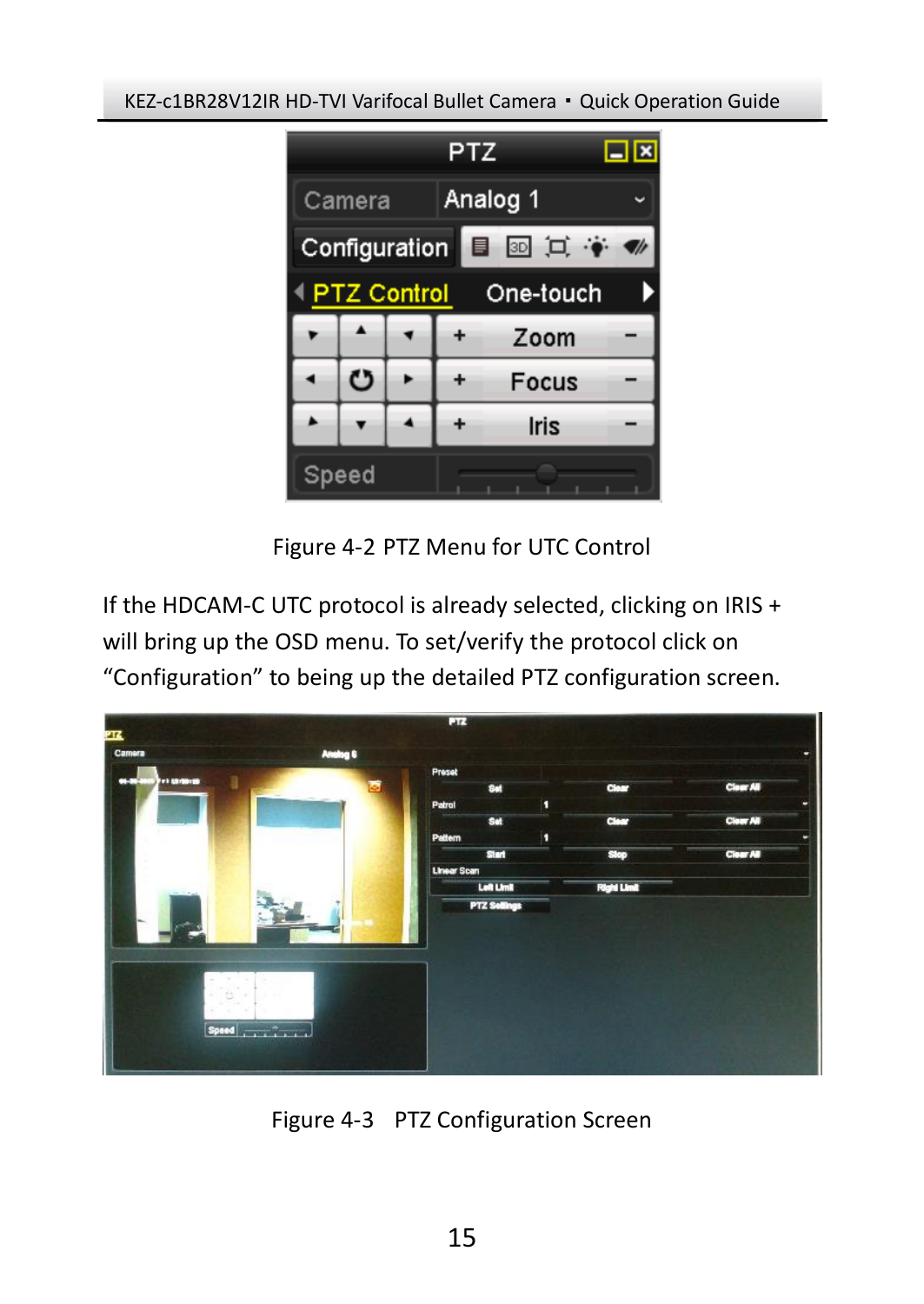

Figure 4-2 PTZ Menu for UTC Control

If the HDCAM-C UTC protocol is already selected, clicking on IRIS + will bring up the OSD menu. To set/verify the protocol click on "Configuration" to being up the detailed PTZ configuration screen.



Figure 4-3 PTZ Configuration Screen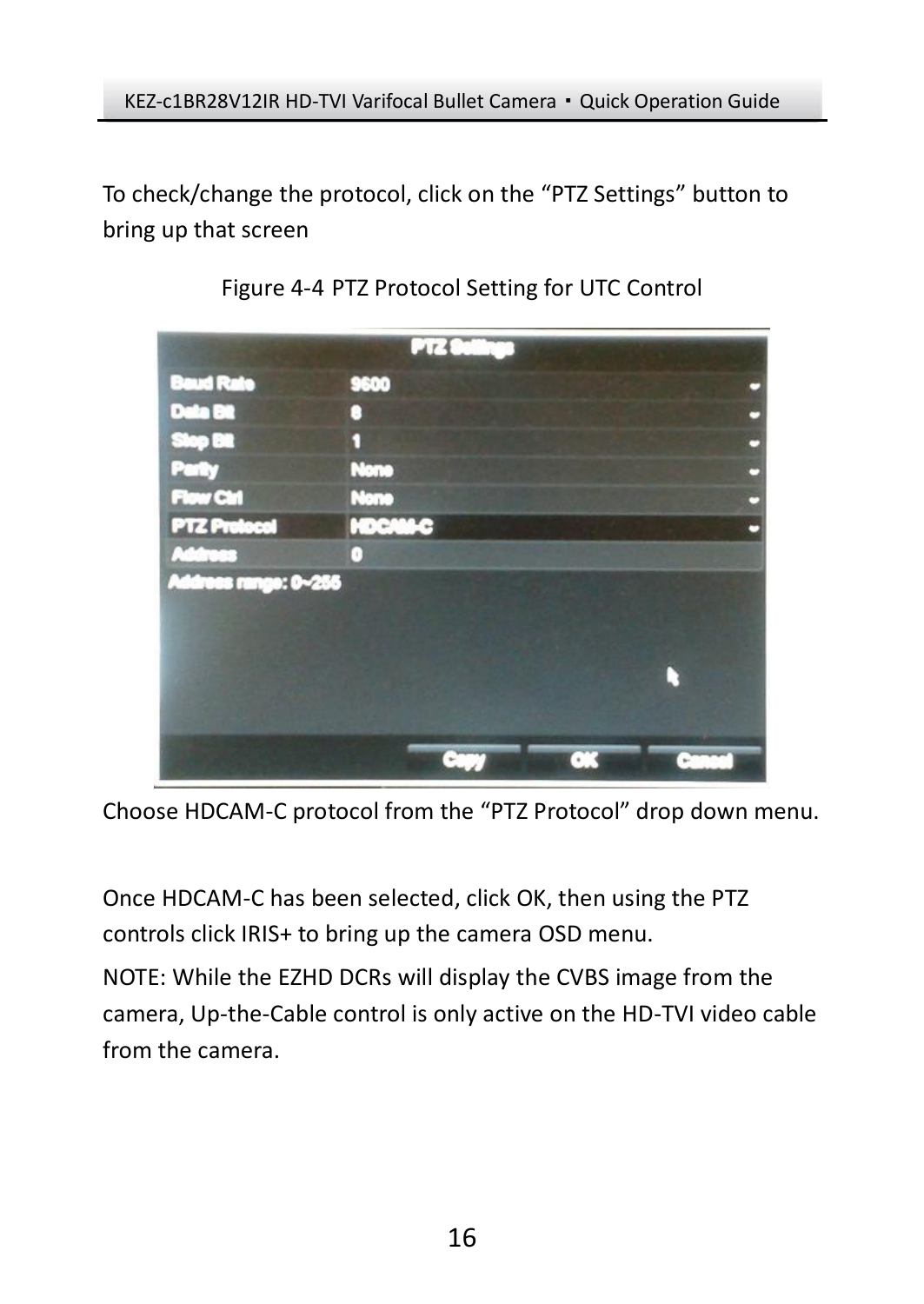To check/change the protocol, click on the "PTZ Settings" button to bring up that screen



Figure 4-4 PTZ Protocol Setting for UTC Control

Choose HDCAM-C protocol from the "PTZ Protocol" drop down menu.

Once HDCAM-C has been selected, click OK, then using the PTZ controls click IRIS+ to bring up the camera OSD menu.

NOTE: While the EZHD DCRs will display the CVBS image from the camera, Up-the-Cable control is only active on the HD-TVI video cable from the camera.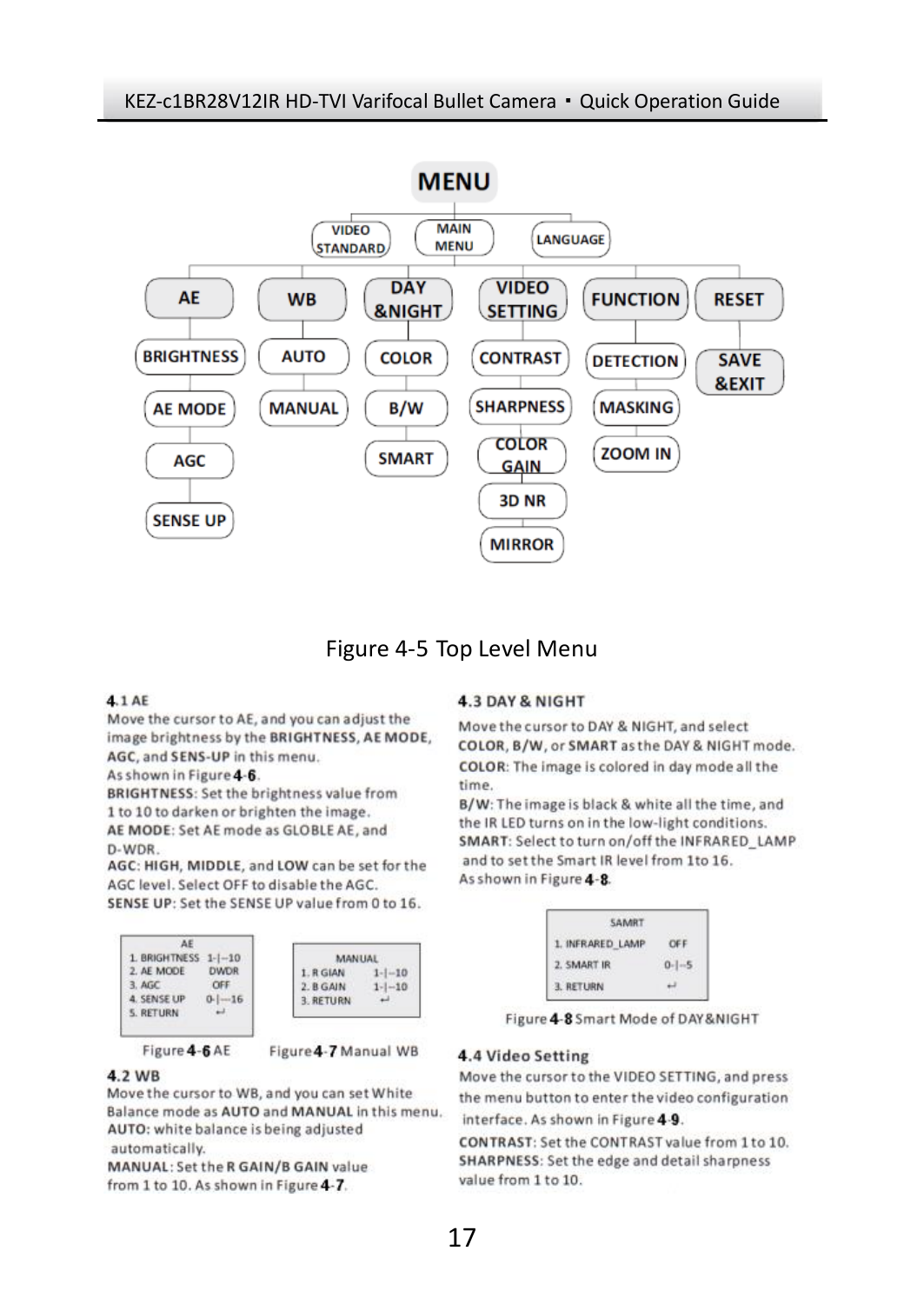

### Figure 4-5 Top Level Menu

#### 4.1 AE

Move the cursor to AE, and you can adjust the image brightness by the BRIGHTNESS, AE MODE, AGC, and SENS-UP in this menu.

As shown in Figure 4-6.

**BRIGHTNESS: Set the brightness value from** 1 to 10 to darken or brighten the image. AE MODE: Set AE mode as GLOBLE AE, and D-WDR

AGC: HIGH, MIDDLE, and LOW can be set for the AGC level. Select OFF to disable the AGC. SENSE UP: Set the SENSE UP value from 0 to 16.



Figure 4-6 AE

**MANUAL** 

 $1 - 10$ 

 $1 - |-10$ 

Figure 4-7 Manual WB

#### 4.2 WB

Move the cursor to WB, and you can set White Balance mode as AUTO and MANUAL in this menu. AUTO: white balance is being adjusted automatically.

MANUAL: Set the R GAIN/B GAIN value from 1 to 10. As shown in Figure 4-7.

#### **4.3 DAY & NIGHT**

Move the cursor to DAY & NIGHT, and select COLOR, B/W, or SMART as the DAY & NIGHT mode. COLOR: The image is colored in day mode all the time.

B/W: The image is black & white all the time, and the IR LED turns on in the low-light conditions. SMART: Select to turn on/off the INFRARED\_LAMP and to set the Smart IR level from 1to 16. As shown in Figure 4-8.



Figure 4-8 Smart Mode of DAY&NIGHT

#### 4.4 Video Setting

Move the cursor to the VIDEO SETTING, and press the menu button to enter the video configuration interface. As shown in Figure 4-9.

CONTRAST: Set the CONTRAST value from 1 to 10. SHARPNESS: Set the edge and detail sharpness value from 1 to 10.